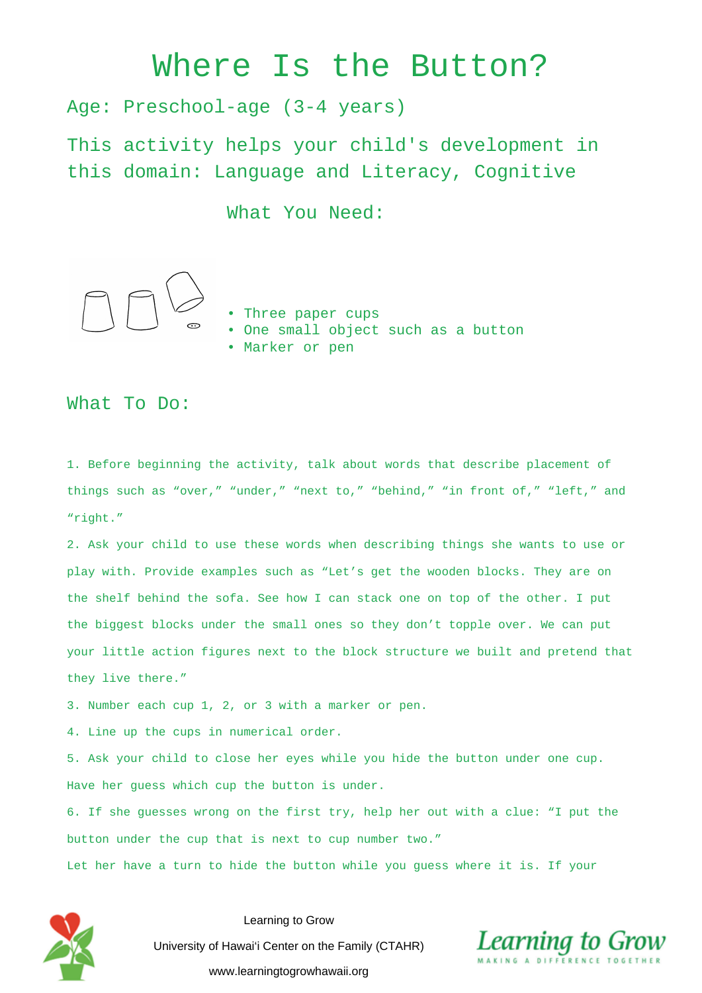## Where Is the Button?

Age: Preschool-age (3-4 years)

This activity helps your child's development in this domain: Language and Literacy, Cognitive

What You Need:



- Three paper cups
- One small object such as a button
- Marker or pen

## What To Do:

1. Before beginning the activity, talk about words that describe placement of things such as "over," "under," "next to," "behind," "in front of," "left," and "right."

2. Ask your child to use these words when describing things she wants to use or play with. Provide examples such as "Let's get the wooden blocks. They are on the shelf behind the sofa. See how I can stack one on top of the other. I put the biggest blocks under the small ones so they don't topple over. We can put your little action figures next to the block structure we built and pretend that they live there."

3. Number each cup 1, 2, or 3 with a marker or pen.

4. Line up the cups in numerical order.

5. Ask your child to close her eyes while you hide the button under one cup. Have her guess which cup the button is under.

6. If she guesses wrong on the first try, help her out with a clue: "I put the button under the cup that is next to cup number two."

Let her have a turn to hide the button while you guess where it is. If your



Learning to Grow University of Hawai'i Center on the Family (CTAHR) www.learningtogrowhawaii.org